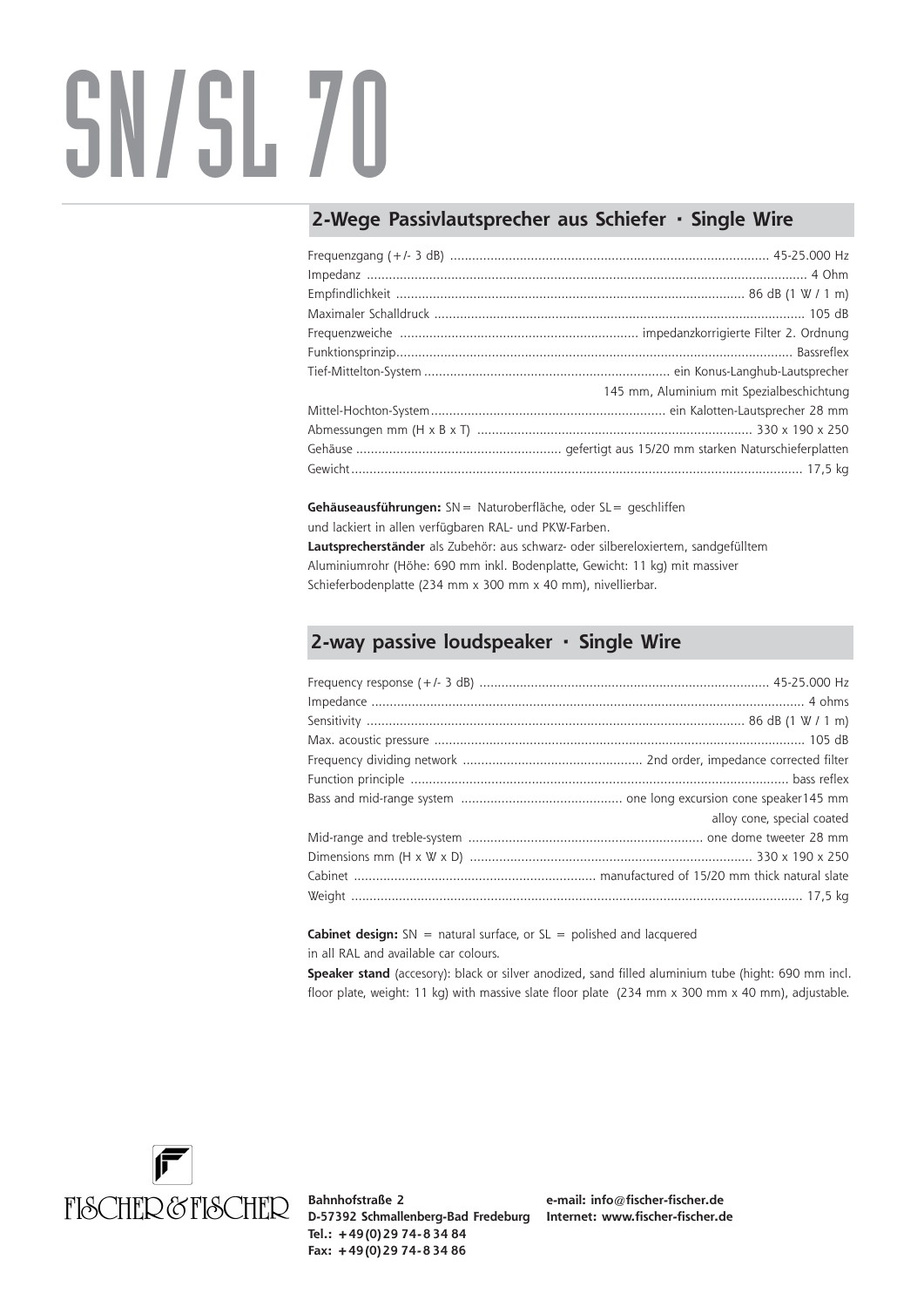## SN/SL 70

## **2-Wege Passivlautsprecher aus Schiefer · Single Wire**

| 145 mm, Aluminium mit Spezialbeschichtung |
|-------------------------------------------|
|                                           |
|                                           |
|                                           |
|                                           |

**Gehäuseausführungen:** SN= Naturoberfläche, oder SL= geschliffen und lackiert in allen verfügbaren RAL- und PKW-Farben. **Lautsprecherständer** als Zubehör: aus schwarz- oder silbereloxiertem, sandgefülltem Aluminiumrohr (Höhe: 690 mm inkl. Bodenplatte, Gewicht: 11 kg) mit massiver Schieferbodenplatte (234 mm x 300 mm x 40 mm), nivellierbar.

## **2-way passive loudspeaker · Single Wire**

| alloy cone, special coated |
|----------------------------|
|                            |
|                            |
|                            |
|                            |

**Cabinet design:** SN = natural surface, or SL = polished and lacquered in all RAL and available car colours.

**Speaker stand** (accesory): black or silver anodized, sand filled aluminium tube (hight: 690 mm incl. floor plate, weight: 11 kg) with massive slate floor plate (234 mm x 300 mm x 40 mm), adjustable.



**Bahnhofstraße 2 D-57392 Schmallenberg-Bad Fredeburg Internet: www.fischer-fischer.de Tel.: +49 (0) 29 74- 8 34 84 Fax: +49 (0) 29 74- 8 34 86**

**e-mail: info@fischer-fischer.de**